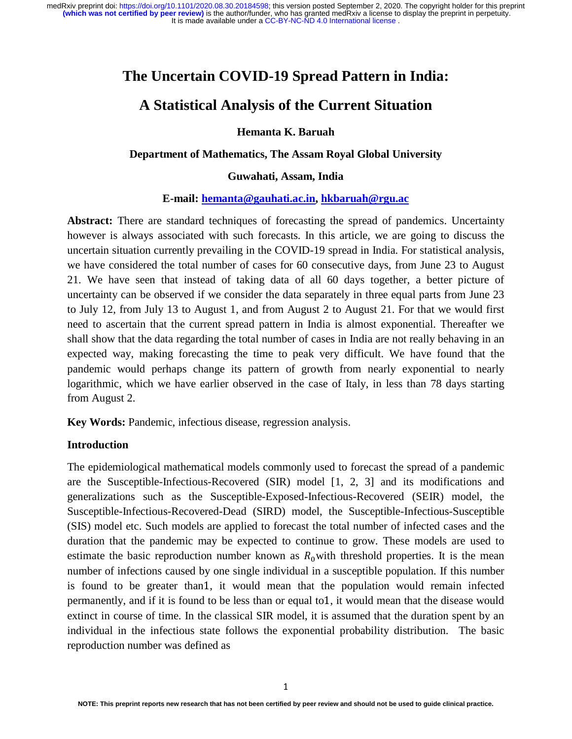## **The Uncertain COVID-19 Spread Pattern in India:**

## **A Statistical Analysis of the Current Situation**

**Hemanta K. Baruah** 

### **Department of Mathematics, The Assam Royal Global University**

### **Guwahati, Assam, India**

#### **E-mail: hemanta@gauhati.ac.in, hkbaruah@rgu.ac**

Abstract: There are standard techniques of forecasting the spread of pandemics. Uncertainty however is always associated with such forecasts. In this article, we are going to discuss the uncertain situation currently prevailing in the COVID-19 spread in India. For statistical analysis, we have considered the total number of cases for 60 consecutive days, from June 23 to August 21. We have seen that instead of taking data of all 60 days together, a better picture of uncertainty can be observed if we consider the data separately in three equal parts from June 23 to July 12, from July 13 to August 1, and from August 2 to August 21. For that we would first need to ascertain that the current spread pattern in India is almost exponential. Thereafter we shall show that the data regarding the total number of cases in India are not really behaving in an expected way, making forecasting the time to peak very difficult. We have found that the pandemic would perhaps change its pattern of growth from nearly exponential to nearly logarithmic, which we have earlier observed in the case of Italy, in less than 78 days starting from August 2.

**Key Words:** Pandemic, infectious disease, regression analysis.

#### **Introduction**

The epidemiological mathematical models commonly used to forecast the spread of a pandemic are the Susceptible-Infectious-Recovered (SIR) model [1, 2, 3] and its modifications and generalizations such as the Susceptible-Exposed-Infectious-Recovered (SEIR) model, the Susceptible-Infectious-Recovered-Dead (SIRD) model, the Susceptible-Infectious-Susceptible (SIS) model etc. Such models are applied to forecast the total number of infected cases and the duration that the pandemic may be expected to continue to grow. These models are used to estimate the basic reproduction number known as  $R_0$  with threshold properties. It is the mean number of infections caused by one single individual in a susceptible population. If this number is found to be greater than1, it would mean that the population would remain infected permanently, and if it is found to be less than or equal to1, it would mean that the disease would extinct in course of time. In the classical SIR model, it is assumed that the duration spent by an individual in the infectious state follows the exponential probability distribution. The basic reproduction number was defined as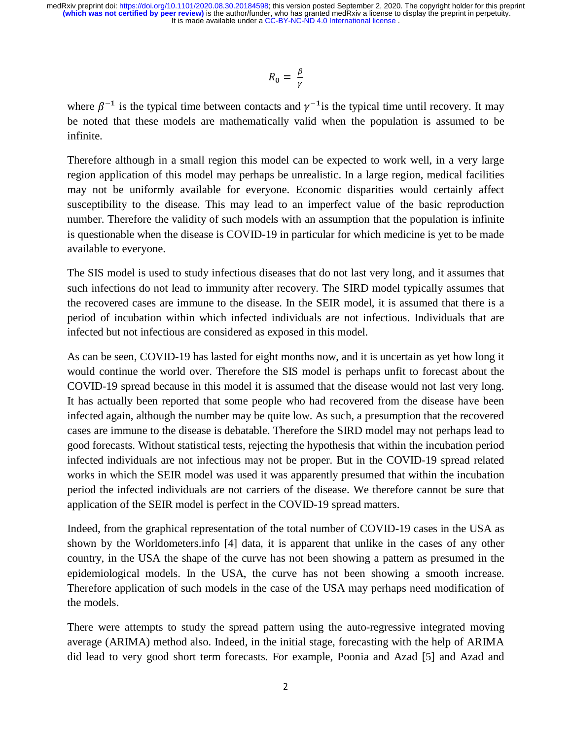$$
R_0 = \frac{\beta}{\gamma}
$$

where  $\beta^{-1}$  is the typical time between contacts and  $\gamma^{-1}$  is the typical time until recovery. It may be noted that these models are mathematically valid when the population is assumed to be infinite.

Therefore although in a small region this model can be expected to work well, in a very large region application of this model may perhaps be unrealistic. In a large region, medical facilities may not be uniformly available for everyone. Economic disparities would certainly affect susceptibility to the disease. This may lead to an imperfect value of the basic reproduction number. Therefore the validity of such models with an assumption that the population is infinite is questionable when the disease is COVID-19 in particular for which medicine is yet to be made available to everyone.

The SIS model is used to study infectious diseases that do not last very long, and it assumes that such infections do not lead to immunity after recovery. The SIRD model typically assumes that the recovered cases are immune to the disease. In the SEIR model, it is assumed that there is a period of incubation within which infected individuals are not infectious. Individuals that are infected but not infectious are considered as exposed in this model.

As can be seen, COVID-19 has lasted for eight months now, and it is uncertain as yet how long it would continue the world over. Therefore the SIS model is perhaps unfit to forecast about the COVID-19 spread because in this model it is assumed that the disease would not last very long. It has actually been reported that some people who had recovered from the disease have been infected again, although the number may be quite low. As such, a presumption that the recovered cases are immune to the disease is debatable. Therefore the SIRD model may not perhaps lead to good forecasts. Without statistical tests, rejecting the hypothesis that within the incubation period infected individuals are not infectious may not be proper. But in the COVID-19 spread related works in which the SEIR model was used it was apparently presumed that within the incubation period the infected individuals are not carriers of the disease. We therefore cannot be sure that application of the SEIR model is perfect in the COVID-19 spread matters.

Indeed, from the graphical representation of the total number of COVID-19 cases in the USA as shown by the Worldometers.info [4] data, it is apparent that unlike in the cases of any other country, in the USA the shape of the curve has not been showing a pattern as presumed in the epidemiological models. In the USA, the curve has not been showing a smooth increase. Therefore application of such models in the case of the USA may perhaps need modification of the models.

There were attempts to study the spread pattern using the auto-regressive integrated moving average (ARIMA) method also. Indeed, in the initial stage, forecasting with the help of ARIMA did lead to very good short term forecasts. For example, Poonia and Azad [5] and Azad and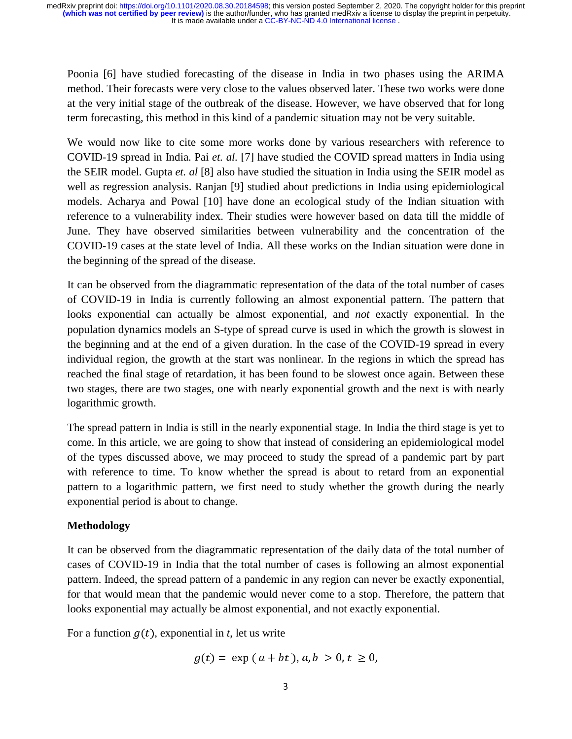Poonia [6] have studied forecasting of the disease in India in two phases using the ARIMA method. Their forecasts were very close to the values observed later. These two works were done at the very initial stage of the outbreak of the disease. However, we have observed that for long term forecasting, this method in this kind of a pandemic situation may not be very suitable.

We would now like to cite some more works done by various researchers with reference to COVID-19 spread in India. Pai *et. al.* [7] have studied the COVID spread matters in India using the SEIR model. Gupta *et. al* [8] also have studied the situation in India using the SEIR model as well as regression analysis. Ranjan [9] studied about predictions in India using epidemiological models. Acharya and Powal [10] have done an ecological study of the Indian situation with reference to a vulnerability index. Their studies were however based on data till the middle of June. They have observed similarities between vulnerability and the concentration of the COVID-19 cases at the state level of India. All these works on the Indian situation were done in the beginning of the spread of the disease.

It can be observed from the diagrammatic representation of the data of the total number of cases of COVID-19 in India is currently following an almost exponential pattern. The pattern that looks exponential can actually be almost exponential, and *not* exactly exponential. In the population dynamics models an S-type of spread curve is used in which the growth is slowest in the beginning and at the end of a given duration. In the case of the COVID-19 spread in every individual region, the growth at the start was nonlinear. In the regions in which the spread has reached the final stage of retardation, it has been found to be slowest once again. Between these two stages, there are two stages, one with nearly exponential growth and the next is with nearly logarithmic growth.

The spread pattern in India is still in the nearly exponential stage. In India the third stage is yet to come. In this article, we are going to show that instead of considering an epidemiological model of the types discussed above, we may proceed to study the spread of a pandemic part by part with reference to time. To know whether the spread is about to retard from an exponential pattern to a logarithmic pattern, we first need to study whether the growth during the nearly exponential period is about to change.

## **Methodology**

It can be observed from the diagrammatic representation of the daily data of the total number of cases of COVID-19 in India that the total number of cases is following an almost exponential pattern. Indeed, the spread pattern of a pandemic in any region can never be exactly exponential, for that would mean that the pandemic would never come to a stop. Therefore, the pattern that looks exponential may actually be almost exponential, and not exactly exponential.

For a function  $g(t)$ , exponential in *t*, let us write

$$
g(t) = \exp(a + bt), a, b > 0, t \ge 0,
$$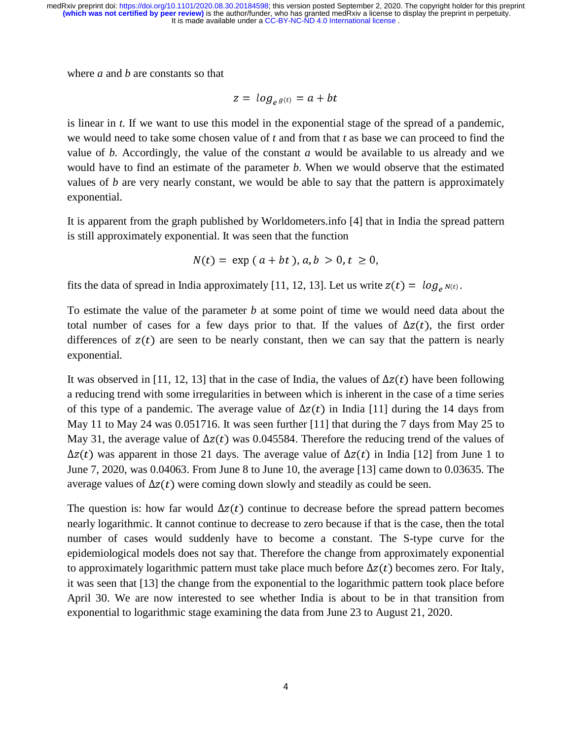where *a* and *b* are constants so that

$$
z = \log_{e} g(t) = a + bt
$$

is linear in *t*. If we want to use this model in the exponential stage of the spread of a pandemic, we would need to take some chosen value of *t* and from that *t* as base we can proceed to find the value of *b.* Accordingly, the value of the constant *a* would be available to us already and we would have to find an estimate of the parameter *b*. When we would observe that the estimated values of *b* are very nearly constant, we would be able to say that the pattern is approximately exponential.

It is apparent from the graph published by Worldometers.info [4] that in India the spread pattern is still approximately exponential. It was seen that the function

$$
N(t) = \exp (a + bt), a, b > 0, t \ge 0,
$$

fits the data of spread in India approximately [11, 12, 13]. Let us write  $z(t) = \log_e N(t)$ .

To estimate the value of the parameter *b* at some point of time we would need data about the total number of cases for a few days prior to that. If the values of  $\Delta z(t)$ , the first order differences of  $z(t)$  are seen to be nearly constant, then we can say that the pattern is nearly exponential.

It was observed in [11, 12, 13] that in the case of India, the values of  $\Delta z(t)$  have been following a reducing trend with some irregularities in between which is inherent in the case of a time series of this type of a pandemic. The average value of  $\Delta z(t)$  in India [11] during the 14 days from May 11 to May 24 was 0.051716. It was seen further [11] that during the 7 days from May 25 to May 31, the average value of  $\Delta z(t)$  was 0.045584. Therefore the reducing trend of the values of  $\Delta z(t)$  was apparent in those 21 days. The average value of  $\Delta z(t)$  in India [12] from June 1 to June 7, 2020, was 0.04063. From June 8 to June 10, the average [13] came down to 0.03635. The average values of  $\Delta z(t)$  were coming down slowly and steadily as could be seen.

The question is: how far would  $\Delta z(t)$  continue to decrease before the spread pattern becomes nearly logarithmic. It cannot continue to decrease to zero because if that is the case, then the total number of cases would suddenly have to become a constant. The S-type curve for the epidemiological models does not say that. Therefore the change from approximately exponential to approximately logarithmic pattern must take place much before  $\Delta z(t)$  becomes zero. For Italy, it was seen that [13] the change from the exponential to the logarithmic pattern took place before April 30. We are now interested to see whether India is about to be in that transition from exponential to logarithmic stage examining the data from June 23 to August 21, 2020.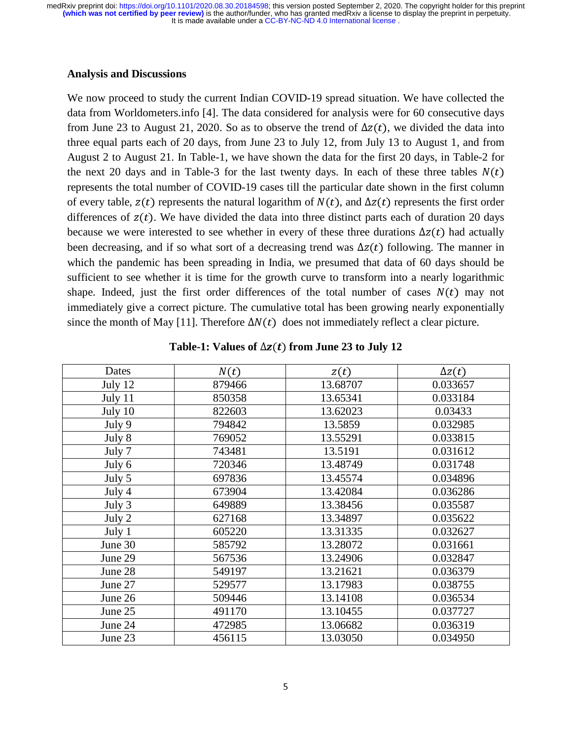### **Analysis and Discussions**

We now proceed to study the current Indian COVID-19 spread situation. We have collected the data from Worldometers.info [4]. The data considered for analysis were for 60 consecutive days from June 23 to August 21, 2020. So as to observe the trend of  $\Delta z(t)$ , we divided the data into three equal parts each of 20 days, from June 23 to July 12, from July 13 to August 1, and from August 2 to August 21. In Table-1, we have shown the data for the first 20 days, in Table-2 for the next 20 days and in Table-3 for the last twenty days. In each of these three tables  $N(t)$ represents the total number of COVID-19 cases till the particular date shown in the first column of every table,  $z(t)$  represents the natural logarithm of  $N(t)$ , and  $\Delta z(t)$  represents the first order differences of  $z(t)$ . We have divided the data into three distinct parts each of duration 20 days because we were interested to see whether in every of these three durations  $\Delta z(t)$  had actually been decreasing, and if so what sort of a decreasing trend was  $\Delta z(t)$  following. The manner in which the pandemic has been spreading in India, we presumed that data of 60 days should be sufficient to see whether it is time for the growth curve to transform into a nearly logarithmic shape. Indeed, just the first order differences of the total number of cases  $N(t)$  may not immediately give a correct picture. The cumulative total has been growing nearly exponentially since the month of May [11]. Therefore  $\Delta N(t)$  does not immediately reflect a clear picture.

| Dates   | N(t)   | z(t)     | $\Delta z(t)$ |
|---------|--------|----------|---------------|
| July 12 | 879466 | 13.68707 | 0.033657      |
| July 11 | 850358 | 13.65341 | 0.033184      |
| July 10 | 822603 | 13.62023 | 0.03433       |
| July 9  | 794842 | 13.5859  | 0.032985      |
| July 8  | 769052 | 13.55291 | 0.033815      |
| July 7  | 743481 | 13.5191  | 0.031612      |
| July 6  | 720346 | 13.48749 | 0.031748      |
| July 5  | 697836 | 13.45574 | 0.034896      |
| July 4  | 673904 | 13.42084 | 0.036286      |
| July 3  | 649889 | 13.38456 | 0.035587      |
| July 2  | 627168 | 13.34897 | 0.035622      |
| July 1  | 605220 | 13.31335 | 0.032627      |
| June 30 | 585792 | 13.28072 | 0.031661      |
| June 29 | 567536 | 13.24906 | 0.032847      |
| June 28 | 549197 | 13.21621 | 0.036379      |
| June 27 | 529577 | 13.17983 | 0.038755      |
| June 26 | 509446 | 13.14108 | 0.036534      |
| June 25 | 491170 | 13.10455 | 0.037727      |
| June 24 | 472985 | 13.06682 | 0.036319      |
| June 23 | 456115 | 13.03050 | 0.034950      |

**Table-1: Values of** ∆  **from June 23 to July 12**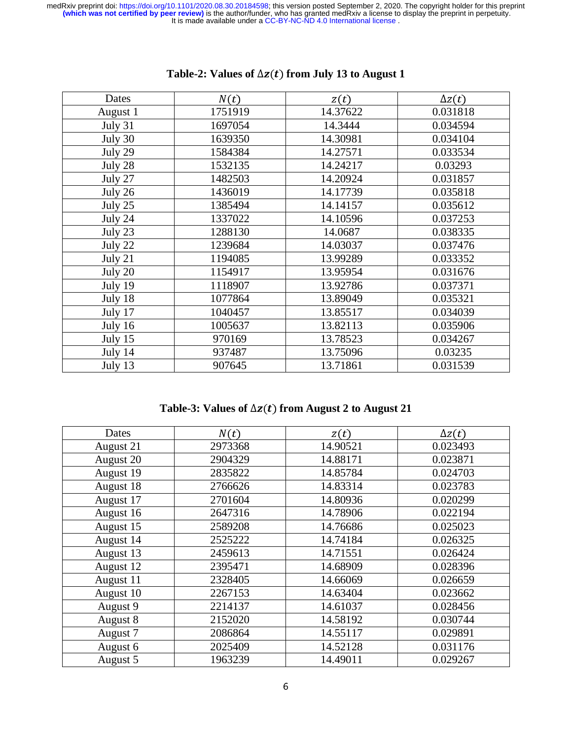| Dates    | N(t)    | z(t)     | $\Delta z(t)$ |
|----------|---------|----------|---------------|
| August 1 | 1751919 | 14.37622 | 0.031818      |
| July 31  | 1697054 | 14.3444  | 0.034594      |
| July 30  | 1639350 | 14.30981 | 0.034104      |
| July 29  | 1584384 | 14.27571 | 0.033534      |
| July 28  | 1532135 | 14.24217 | 0.03293       |
| July 27  | 1482503 | 14.20924 | 0.031857      |
| July 26  | 1436019 | 14.17739 | 0.035818      |
| July 25  | 1385494 | 14.14157 | 0.035612      |
| July 24  | 1337022 | 14.10596 | 0.037253      |
| July 23  | 1288130 | 14.0687  | 0.038335      |
| July 22  | 1239684 | 14.03037 | 0.037476      |
| July 21  | 1194085 | 13.99289 | 0.033352      |
| July 20  | 1154917 | 13.95954 | 0.031676      |
| July 19  | 1118907 | 13.92786 | 0.037371      |
| July 18  | 1077864 | 13.89049 | 0.035321      |
| July 17  | 1040457 | 13.85517 | 0.034039      |
| July 16  | 1005637 | 13.82113 | 0.035906      |
| July 15  | 970169  | 13.78523 | 0.034267      |
| July 14  | 937487  | 13.75096 | 0.03235       |
| July 13  | 907645  | 13.71861 | 0.031539      |
|          |         |          |               |

# **Table-2: Values of** ∆  **from July 13 to August 1**

**Table-3: Values of** ∆  **from August 2 to August 21** 

| Dates     | N(t)    | z(t)     | $\Delta z(t)$ |
|-----------|---------|----------|---------------|
| August 21 | 2973368 | 14.90521 | 0.023493      |
| August 20 | 2904329 | 14.88171 | 0.023871      |
| August 19 | 2835822 | 14.85784 | 0.024703      |
| August 18 | 2766626 | 14.83314 | 0.023783      |
| August 17 | 2701604 | 14.80936 | 0.020299      |
| August 16 | 2647316 | 14.78906 | 0.022194      |
| August 15 | 2589208 | 14.76686 | 0.025023      |
| August 14 | 2525222 | 14.74184 | 0.026325      |
| August 13 | 2459613 | 14.71551 | 0.026424      |
| August 12 | 2395471 | 14.68909 | 0.028396      |
| August 11 | 2328405 | 14.66069 | 0.026659      |
| August 10 | 2267153 | 14.63404 | 0.023662      |
| August 9  | 2214137 | 14.61037 | 0.028456      |
| August 8  | 2152020 | 14.58192 | 0.030744      |
| August 7  | 2086864 | 14.55117 | 0.029891      |
| August 6  | 2025409 | 14.52128 | 0.031176      |
| August 5  | 1963239 | 14.49011 | 0.029267      |
|           |         |          |               |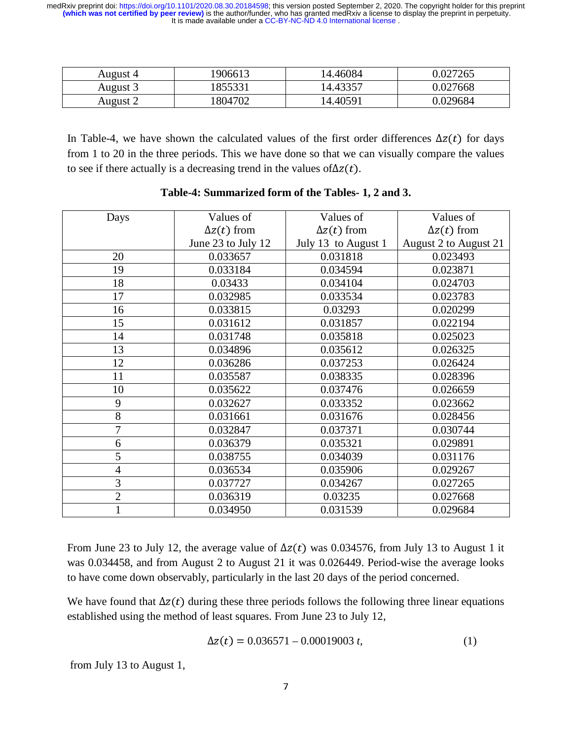| August 4 | 1906613 | 14.46084 | 0.027265 |
|----------|---------|----------|----------|
| August 3 | 855331  | 14.43357 | 0.027668 |
| August 2 | 1804702 | 14.40591 | 0.029684 |
|          |         |          |          |

In Table-4, we have shown the calculated values of the first order differences  $\Delta z(t)$  for days from 1 to 20 in the three periods. This we have done so that we can visually compare the values to see if there actually is a decreasing trend in the values of $\Delta z(t)$ .

| Days           | Values of          | Values of           | Values of             |
|----------------|--------------------|---------------------|-----------------------|
|                | $\Delta z(t)$ from | $\Delta z(t)$ from  | $\Delta z(t)$ from    |
|                | June 23 to July 12 | July 13 to August 1 | August 2 to August 21 |
| 20             | 0.033657           | 0.031818            | 0.023493              |
| 19             | 0.033184           | 0.034594            | 0.023871              |
| 18             | 0.03433            | 0.034104            | 0.024703              |
| 17             | 0.032985           | 0.033534            | 0.023783              |
| 16             | 0.033815           | 0.03293             | 0.020299              |
| 15             | 0.031612           | 0.031857            | 0.022194              |
| 14             | 0.031748           | 0.035818            | 0.025023              |
| 13             | 0.034896           | 0.035612            | 0.026325              |
| 12             | 0.036286           | 0.037253            | 0.026424              |
| 11             | 0.035587           | 0.038335            | 0.028396              |
| 10             | 0.035622           | 0.037476            | 0.026659              |
| 9              | 0.032627           | 0.033352            | 0.023662              |
| 8              | 0.031661           | 0.031676            | 0.028456              |
| 7              | 0.032847           | 0.037371            | 0.030744              |
| 6              | 0.036379           | 0.035321            | 0.029891              |
| 5              | 0.038755           | 0.034039            | 0.031176              |
| $\overline{4}$ | 0.036534           | 0.035906            | 0.029267              |
| 3              | 0.037727           | 0.034267            | 0.027265              |
| $\overline{2}$ | 0.036319           | 0.03235             | 0.027668              |
|                | 0.034950           | 0.031539            | 0.029684              |

## **Table-4: Summarized form of the Tables- 1, 2 and 3.**

From June 23 to July 12, the average value of  $\Delta z(t)$  was 0.034576, from July 13 to August 1 it was 0.034458, and from August 2 to August 21 it was 0.026449. Period-wise the average looks to have come down observably, particularly in the last 20 days of the period concerned.

We have found that  $\Delta z(t)$  during these three periods follows the following three linear equations established using the method of least squares. From June 23 to July 12,

$$
\Delta z(t) = 0.036571 - 0.00019003 t, \tag{1}
$$

from July 13 to August 1,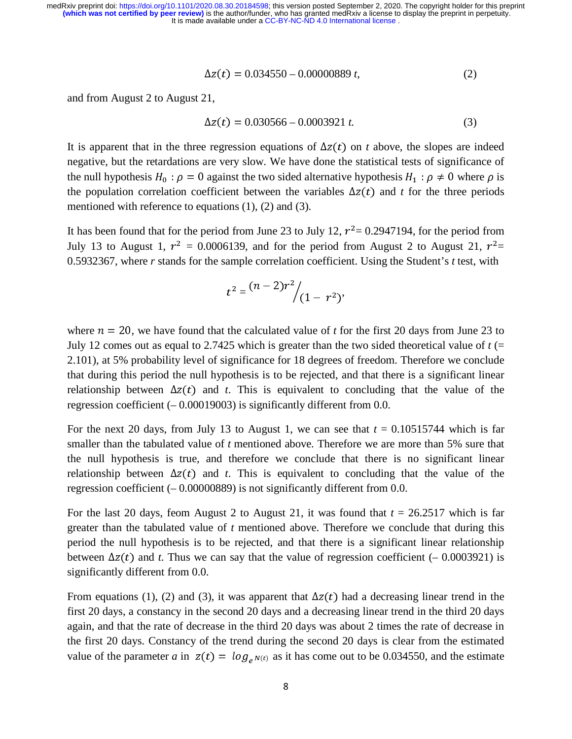$$
\Delta z(t) = 0.034550 - 0.00000889 t, \tag{2}
$$

and from August 2 to August 21,

$$
\Delta z(t) = 0.030566 - 0.0003921 t. \tag{3}
$$

It is apparent that in the three regression equations of  $\Delta z(t)$  on *t* above, the slopes are indeed negative, but the retardations are very slow. We have done the statistical tests of significance of the null hypothesis  $H_0$ :  $\rho = 0$  against the two sided alternative hypothesis  $H_1$ :  $\rho \neq 0$  where  $\rho$  is the population correlation coefficient between the variables  $\Delta z(t)$  and *t* for the three periods mentioned with reference to equations (1), (2) and (3).

It has been found that for the period from June 23 to July 12,  $r^2 = 0.2947194$ , for the period from July 13 to August 1,  $r^2 = 0.0006139$ , and for the period from August 2 to August 21,  $r^2 =$ 0.5932367, where *r* stands for the sample correlation coefficient. Using the Student's *t* test, with

$$
t^2 = \frac{(n-2)r^2}{(1-r^2)},
$$

where  $n = 20$ , we have found that the calculated value of *t* for the first 20 days from June 23 to July 12 comes out as equal to 2.7425 which is greater than the two sided theoretical value of  $t$  (= 2.101), at 5% probability level of significance for 18 degrees of freedom. Therefore we conclude that during this period the null hypothesis is to be rejected, and that there is a significant linear relationship between  $\Delta z(t)$  and *t*. This is equivalent to concluding that the value of the regression coefficient (– 0.00019003) is significantly different from 0.0.

For the next 20 days, from July 13 to August 1, we can see that  $t = 0.10515744$  which is far smaller than the tabulated value of *t* mentioned above. Therefore we are more than 5% sure that the null hypothesis is true, and therefore we conclude that there is no significant linear relationship between  $\Delta z(t)$  and *t*. This is equivalent to concluding that the value of the regression coefficient (– 0.00000889) is not significantly different from 0.0.

For the last 20 days, feom August 2 to August 21, it was found that  $t = 26.2517$  which is far greater than the tabulated value of *t* mentioned above. Therefore we conclude that during this period the null hypothesis is to be rejected, and that there is a significant linear relationship between  $\Delta z(t)$  and *t*. Thus we can say that the value of regression coefficient (– 0.0003921) is significantly different from 0.0.

From equations (1), (2) and (3), it was apparent that  $\Delta z(t)$  had a decreasing linear trend in the first 20 days, a constancy in the second 20 days and a decreasing linear trend in the third 20 days again, and that the rate of decrease in the third 20 days was about 2 times the rate of decrease in the first 20 days. Constancy of the trend during the second 20 days is clear from the estimated value of the parameter *a* in  $z(t) = \log_{e^{N(t)}}$  as it has come out to be 0.034550, and the estimate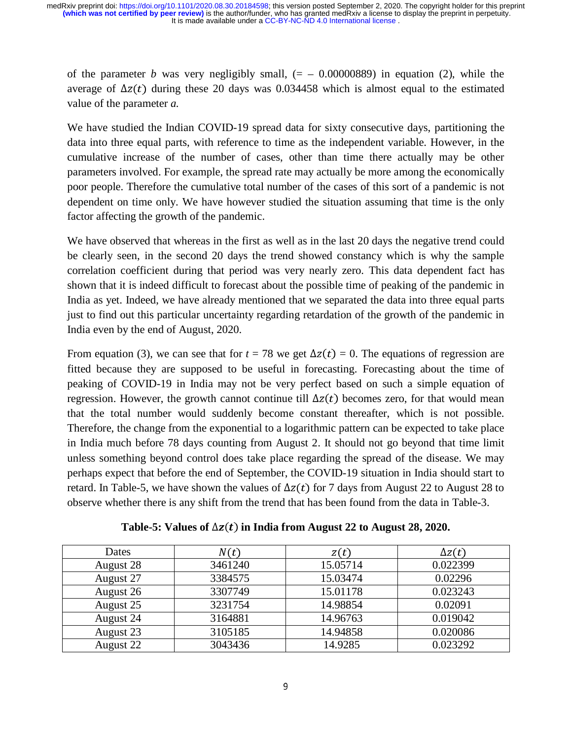of the parameter *b* was very negligibly small,  $(= -0.00000889)$  in equation (2), while the average of  $\Delta z(t)$  during these 20 days was 0.034458 which is almost equal to the estimated value of the parameter *a.* 

We have studied the Indian COVID-19 spread data for sixty consecutive days, partitioning the data into three equal parts, with reference to time as the independent variable. However, in the cumulative increase of the number of cases, other than time there actually may be other parameters involved. For example, the spread rate may actually be more among the economically poor people. Therefore the cumulative total number of the cases of this sort of a pandemic is not dependent on time only. We have however studied the situation assuming that time is the only factor affecting the growth of the pandemic.

We have observed that whereas in the first as well as in the last 20 days the negative trend could be clearly seen, in the second 20 days the trend showed constancy which is why the sample correlation coefficient during that period was very nearly zero. This data dependent fact has shown that it is indeed difficult to forecast about the possible time of peaking of the pandemic in India as yet. Indeed, we have already mentioned that we separated the data into three equal parts just to find out this particular uncertainty regarding retardation of the growth of the pandemic in India even by the end of August, 2020.

From equation (3), we can see that for  $t = 78$  we get  $\Delta z(t) = 0$ . The equations of regression are fitted because they are supposed to be useful in forecasting. Forecasting about the time of peaking of COVID-19 in India may not be very perfect based on such a simple equation of regression. However, the growth cannot continue till  $\Delta z(t)$  becomes zero, for that would mean that the total number would suddenly become constant thereafter, which is not possible. Therefore, the change from the exponential to a logarithmic pattern can be expected to take place in India much before 78 days counting from August 2. It should not go beyond that time limit unless something beyond control does take place regarding the spread of the disease. We may perhaps expect that before the end of September, the COVID-19 situation in India should start to retard. In Table-5, we have shown the values of  $\Delta z(t)$  for 7 days from August 22 to August 28 to observe whether there is any shift from the trend that has been found from the data in Table-3.

| Table-5: Values of $\Delta z(t)$ in India from August 22 to August 28, 2020. |  |
|------------------------------------------------------------------------------|--|
|------------------------------------------------------------------------------|--|

| Dates     | N(t)    | z(t)     | $\Delta z(t)$ |
|-----------|---------|----------|---------------|
| August 28 | 3461240 | 15.05714 | 0.022399      |
| August 27 | 3384575 | 15.03474 | 0.02296       |
| August 26 | 3307749 | 15.01178 | 0.023243      |
| August 25 | 3231754 | 14.98854 | 0.02091       |
| August 24 | 3164881 | 14.96763 | 0.019042      |
| August 23 | 3105185 | 14.94858 | 0.020086      |
| August 22 | 3043436 | 14.9285  | 0.023292      |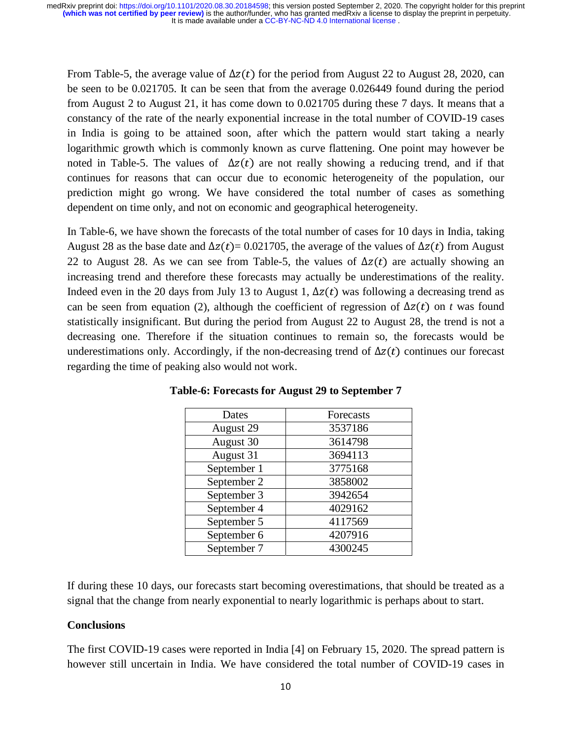From Table-5, the average value of  $\Delta z(t)$  for the period from August 22 to August 28, 2020, can be seen to be 0.021705. It can be seen that from the average 0.026449 found during the period from August 2 to August 21, it has come down to 0.021705 during these 7 days. It means that a constancy of the rate of the nearly exponential increase in the total number of COVID-19 cases in India is going to be attained soon, after which the pattern would start taking a nearly logarithmic growth which is commonly known as curve flattening. One point may however be noted in Table-5. The values of  $\Delta z(t)$  are not really showing a reducing trend, and if that continues for reasons that can occur due to economic heterogeneity of the population, our prediction might go wrong. We have considered the total number of cases as something dependent on time only, and not on economic and geographical heterogeneity.

In Table-6, we have shown the forecasts of the total number of cases for 10 days in India, taking August 28 as the base date and  $\Delta z(t) = 0.021705$ , the average of the values of  $\Delta z(t)$  from August 22 to August 28. As we can see from Table-5, the values of  $\Delta z(t)$  are actually showing an increasing trend and therefore these forecasts may actually be underestimations of the reality. Indeed even in the 20 days from July 13 to August 1,  $\Delta z(t)$  was following a decreasing trend as can be seen from equation (2), although the coefficient of regression of  $\Delta z(t)$  on *t* was found statistically insignificant. But during the period from August 22 to August 28, the trend is not a decreasing one. Therefore if the situation continues to remain so, the forecasts would be underestimations only. Accordingly, if the non-decreasing trend of  $\Delta z(t)$  continues our forecast regarding the time of peaking also would not work.

| Dates       | Forecasts |
|-------------|-----------|
| August 29   | 3537186   |
| August 30   | 3614798   |
| August 31   | 3694113   |
| September 1 | 3775168   |
| September 2 | 3858002   |
| September 3 | 3942654   |
| September 4 | 4029162   |
| September 5 | 4117569   |
| September 6 | 4207916   |
| September 7 | 4300245   |
|             |           |

**Table-6: Forecasts for August 29 to September 7** 

If during these 10 days, our forecasts start becoming overestimations, that should be treated as a signal that the change from nearly exponential to nearly logarithmic is perhaps about to start.

## **Conclusions**

The first COVID-19 cases were reported in India [4] on February 15, 2020. The spread pattern is however still uncertain in India. We have considered the total number of COVID-19 cases in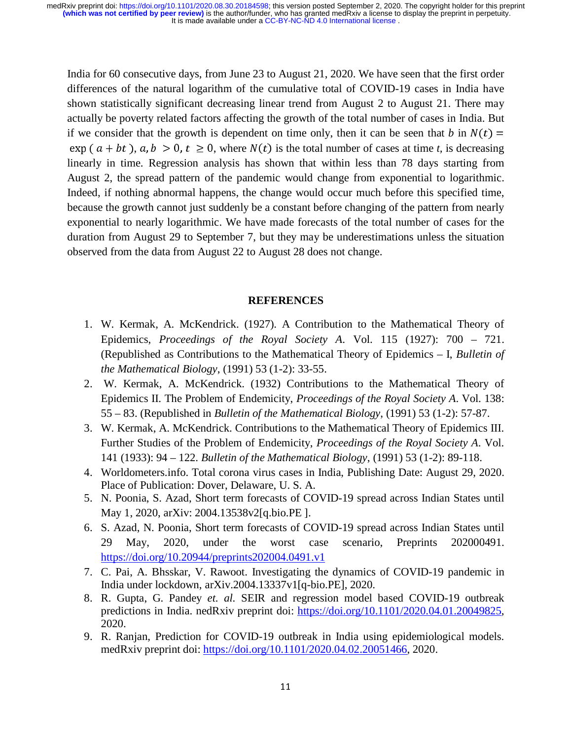India for 60 consecutive days, from June 23 to August 21, 2020. We have seen that the first order differences of the natural logarithm of the cumulative total of COVID-19 cases in India have shown statistically significant decreasing linear trend from August 2 to August 21. There may actually be poverty related factors affecting the growth of the total number of cases in India. But if we consider that the growth is dependent on time only, then it can be seen that *b* in  $N(t)$  =  $\exp(a + bt)$ ,  $a, b > 0$ ,  $t \ge 0$ , where  $N(t)$  is the total number of cases at time *t*, is decreasing linearly in time. Regression analysis has shown that within less than 78 days starting from August 2, the spread pattern of the pandemic would change from exponential to logarithmic. Indeed, if nothing abnormal happens, the change would occur much before this specified time, because the growth cannot just suddenly be a constant before changing of the pattern from nearly exponential to nearly logarithmic. We have made forecasts of the total number of cases for the duration from August 29 to September 7, but they may be underestimations unless the situation observed from the data from August 22 to August 28 does not change.

## **REFERENCES**

- 1. W. Kermak, A. McKendrick. (1927). A Contribution to the Mathematical Theory of Epidemics, *Proceedings of the Royal Society A*. Vol. 115 (1927): 700 – 721. (Republished as Contributions to the Mathematical Theory of Epidemics – I, *Bulletin of the Mathematical Biology*, (1991) 53 (1-2): 33-55.
- 2. W. Kermak, A. McKendrick. (1932) Contributions to the Mathematical Theory of Epidemics II. The Problem of Endemicity, *Proceedings of the Royal Society A*. Vol. 138: 55 – 83. (Republished in *Bulletin of the Mathematical Biology*, (1991) 53 (1-2): 57-87.
- 3. W. Kermak, A. McKendrick. Contributions to the Mathematical Theory of Epidemics III. Further Studies of the Problem of Endemicity, *Proceedings of the Royal Society A*. Vol. 141 (1933): 94 – 122. *Bulletin of the Mathematical Biology*, (1991) 53 (1-2): 89-118.
- 4. Worldometers.info. Total corona virus cases in India, Publishing Date: August 29, 2020. Place of Publication: Dover, Delaware, U. S. A.
- 5. N. Poonia, S. Azad, Short term forecasts of COVID-19 spread across Indian States until May 1, 2020, arXiv: 2004.13538v2[q.bio.PE ].
- 6. S. Azad, N. Poonia, Short term forecasts of COVID-19 spread across Indian States until 29 May, 2020, under the worst case scenario, Preprints 202000491. https://doi.org/10.20944/preprints202004.0491.v1
- 7. C. Pai, A. Bhsskar, V. Rawoot. Investigating the dynamics of COVID-19 pandemic in India under lockdown, arXiv.2004.13337v1[q-bio.PE], 2020.
- 8. R. Gupta, G. Pandey *et. al.* SEIR and regression model based COVID-19 outbreak predictions in India. nedRxiv preprint doi: https://doi.org/10.1101/2020.04.01.20049825, 2020.
- 9. R. Ranjan, Prediction for COVID-19 outbreak in India using epidemiological models. medRxiv preprint doi: https://doi.org/10.1101/2020.04.02.20051466, 2020.